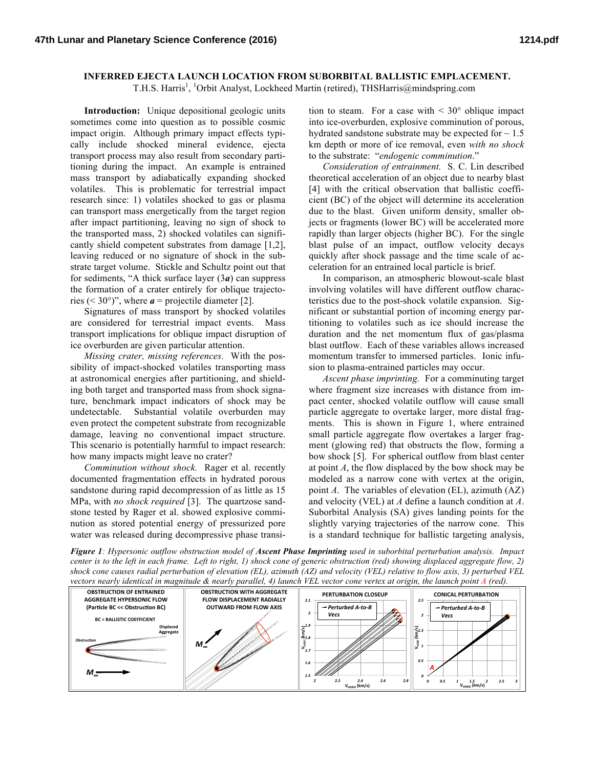## **INFERRED EJECTA LAUNCH LOCATION FROM SUBORBITAL BALLISTIC EMPLACEMENT.**

T.H.S. Harris<sup>1</sup>, <sup>1</sup>Orbit Analyst, Lockheed Martin (retired), THSHarris@mindspring.com

**Introduction:** Unique depositional geologic units sometimes come into question as to possible cosmic impact origin. Although primary impact effects typically include shocked mineral evidence, ejecta transport process may also result from secondary partitioning during the impact. An example is entrained mass transport by adiabatically expanding shocked volatiles. This is problematic for terrestrial impact research since: 1) volatiles shocked to gas or plasma can transport mass energetically from the target region after impact partitioning, leaving no sign of shock to the transported mass, 2) shocked volatiles can significantly shield competent substrates from damage [1,2], leaving reduced or no signature of shock in the substrate target volume. Stickle and Schultz point out that for sediments, "A thick surface layer (3*a*) can suppress the formation of a crater entirely for oblique trajectories ( $\leq 30^{\circ}$ )", where  $a$  = projectile diameter [2].

Signatures of mass transport by shocked volatiles are considered for terrestrial impact events. Mass transport implications for oblique impact disruption of ice overburden are given particular attention.

*Missing crater, missing references.* With the possibility of impact-shocked volatiles transporting mass at astronomical energies after partitioning, and shielding both target and transported mass from shock signature, benchmark impact indicators of shock may be undetectable. Substantial volatile overburden may even protect the competent substrate from recognizable damage, leaving no conventional impact structure. This scenario is potentially harmful to impact research: how many impacts might leave no crater?

*Comminution without shock.* Rager et al. recently documented fragmentation effects in hydrated porous sandstone during rapid decompression of as little as 15 MPa, with *no shock required* [3]. The quartzose sandstone tested by Rager et al. showed explosive comminution as stored potential energy of pressurized pore water was released during decompressive phase transition to steam. For a case with  $\leq 30^{\circ}$  oblique impact into ice-overburden, explosive comminution of porous, hydrated sandstone substrate may be expected for  $\sim 1.5$ km depth or more of ice removal, even *with no shock*  to the substrate: "*endogenic comminution*."

*Consideration of entrainment.* S. C. Lin described theoretical acceleration of an object due to nearby blast [4] with the critical observation that ballistic coefficient (BC) of the object will determine its acceleration due to the blast. Given uniform density, smaller objects or fragments (lower BC) will be accelerated more rapidly than larger objects (higher BC). For the single blast pulse of an impact, outflow velocity decays quickly after shock passage and the time scale of acceleration for an entrained local particle is brief.

In comparison, an atmospheric blowout-scale blast involving volatiles will have different outflow characteristics due to the post-shock volatile expansion. Significant or substantial portion of incoming energy partitioning to volatiles such as ice should increase the duration and the net momentum flux of gas/plasma blast outflow. Each of these variables allows increased momentum transfer to immersed particles. Ionic infusion to plasma-entrained particles may occur.

*Ascent phase imprinting.* For a comminuting target where fragment size increases with distance from impact center, shocked volatile outflow will cause small particle aggregate to overtake larger, more distal fragments. This is shown in Figure 1, where entrained small particle aggregate flow overtakes a larger fragment (glowing red) that obstructs the flow, forming a bow shock [5]. For spherical outflow from blast center at point *A*, the flow displaced by the bow shock may be modeled as a narrow cone with vertex at the origin, point *A*. The variables of elevation (EL), azimuth (AZ) and velocity (VEL) at *A* define a launch condition at *A*. Suborbital Analysis (SA) gives landing points for the slightly varying trajectories of the narrow cone. This is a standard technique for ballistic targeting analysis,

*Figure 1: Hypersonic outflow obstruction model of Ascent Phase Imprinting used in suborbital perturbation analysis. Impact center is to the left in each frame. Left to right, 1) shock cone of generic obstruction (red) showing displaced aggregate flow, 2) shock cone causes radial perturbation of elevation (EL), azimuth (AZ) and velocity (VEL) relative to flow axis, 3) perturbed VEL vectors nearly identical in magnitude & nearly parallel, 4) launch VEL vector cone vertex at origin, the launch point A (red).*